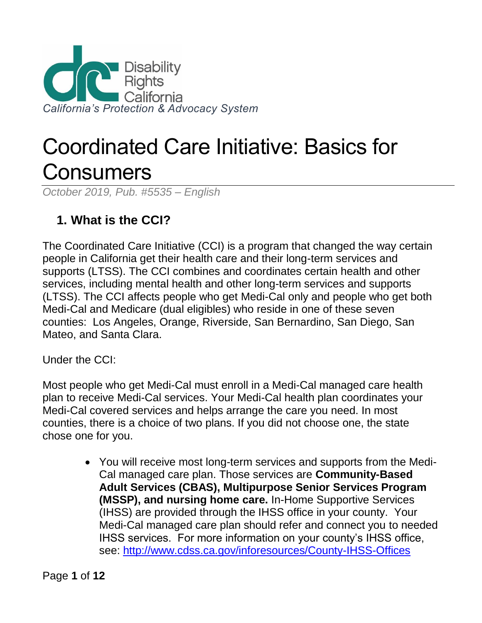

# Coordinated Care Initiative: Basics for **Consumers**

*October 2019, Pub. #5535 – English*

## **1. What is the CCI?**

The Coordinated Care Initiative (CCI) is a program that changed the way certain people in California get their health care and their long-term services and supports (LTSS). The CCI combines and coordinates certain health and other services, including mental health and other long-term services and supports (LTSS). The CCI affects people who get Medi-Cal only and people who get both Medi-Cal and Medicare (dual eligibles) who reside in one of these seven counties: Los Angeles, Orange, Riverside, San Bernardino, San Diego, San Mateo, and Santa Clara.

Under the CCI:

Most people who get Medi-Cal must enroll in a Medi-Cal managed care health plan to receive Medi-Cal services. Your Medi-Cal health plan coordinates your Medi-Cal covered services and helps arrange the care you need. In most counties, there is a choice of two plans. If you did not choose one, the state chose one for you.

> • You will receive most long-term services and supports from the Medi-Cal managed care plan. Those services are **Community-Based Adult Services (CBAS), Multipurpose Senior Services Program (MSSP), and nursing home care.** In-Home Supportive Services (IHSS) are provided through the IHSS office in your county. Your Medi-Cal managed care plan should refer and connect you to needed IHSS services. For more information on your county's IHSS office, see:<http://www.cdss.ca.gov/inforesources/County-IHSS-Offices>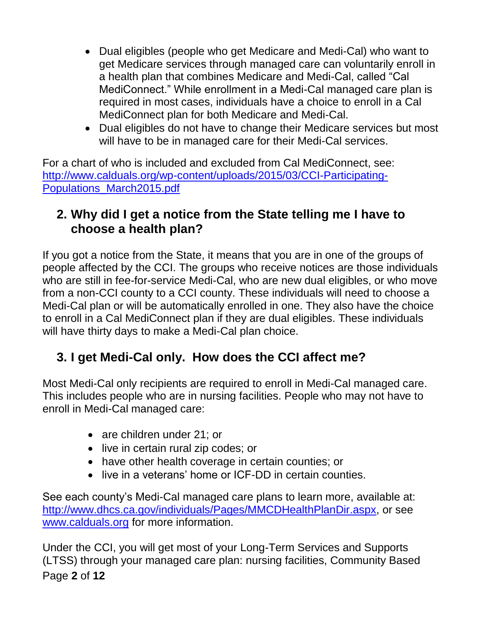- Dual eligibles (people who get Medicare and Medi-Cal) who want to get Medicare services through managed care can voluntarily enroll in a health plan that combines Medicare and Medi-Cal, called "Cal MediConnect." While enrollment in a Medi-Cal managed care plan is required in most cases, individuals have a choice to enroll in a Cal MediConnect plan for both Medicare and Medi-Cal.
- Dual eligibles do not have to change their Medicare services but most will have to be in managed care for their Medi-Cal services.

For a chart of who is included and excluded from Cal MediConnect, see: [http://www.calduals.org/wp-content/uploads/2015/03/CCI-Participating-](http://www.calduals.org/wp-content/uploads/2015/03/CCI-Participating-Populations_March2015.pdf)[Populations\\_March2015.pdf](http://www.calduals.org/wp-content/uploads/2015/03/CCI-Participating-Populations_March2015.pdf)

## **2. Why did I get a notice from the State telling me I have to choose a health plan?**

If you got a notice from the State, it means that you are in one of the groups of people affected by the CCI. The groups who receive notices are those individuals who are still in fee-for-service Medi-Cal, who are new dual eligibles, or who move from a non-CCI county to a CCI county. These individuals will need to choose a Medi-Cal plan or will be automatically enrolled in one. They also have the choice to enroll in a Cal MediConnect plan if they are dual eligibles. These individuals will have thirty days to make a Medi-Cal plan choice.

## **3. I get Medi-Cal only. How does the CCI affect me?**

Most Medi-Cal only recipients are required to enroll in Medi-Cal managed care. This includes people who are in nursing facilities. People who may not have to enroll in Medi-Cal managed care:

- are children under 21; or
- live in certain rural zip codes; or
- have other health coverage in certain counties; or
- live in a veterans' home or ICF-DD in certain counties.

See each county's Medi-Cal managed care plans to learn more, available at: [http://www.dhcs.ca.gov/individuals/Pages/MMCDHealthPlanDir.aspx,](http://www.dhcs.ca.gov/individuals/Pages/MMCDHealthPlanDir.aspx) or see [www.calduals.org](http://www.calduals.org/) for more information.

Page **2** of **12** Under the CCI, you will get most of your Long-Term Services and Supports (LTSS) through your managed care plan: nursing facilities, Community Based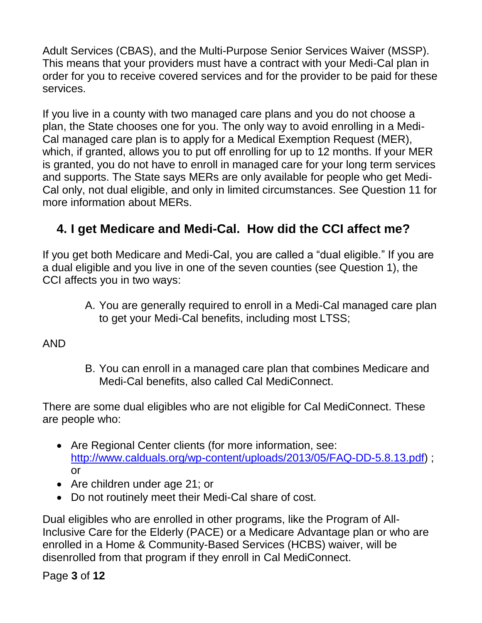Adult Services (CBAS), and the Multi-Purpose Senior Services Waiver (MSSP). This means that your providers must have a contract with your Medi-Cal plan in order for you to receive covered services and for the provider to be paid for these services.

If you live in a county with two managed care plans and you do not choose a plan, the State chooses one for you. The only way to avoid enrolling in a Medi-Cal managed care plan is to apply for a Medical Exemption Request (MER), which, if granted, allows you to put off enrolling for up to 12 months. If your MER is granted, you do not have to enroll in managed care for your long term services and supports. The State says MERs are only available for people who get Medi-Cal only, not dual eligible, and only in limited circumstances. See Question 11 for more information about MERs.

## **4. I get Medicare and Medi-Cal. How did the CCI affect me?**

If you get both Medicare and Medi-Cal, you are called a "dual eligible." If you are a dual eligible and you live in one of the seven counties (see Question 1), the CCI affects you in two ways:

> A. You are generally required to enroll in a Medi-Cal managed care plan to get your Medi-Cal benefits, including most LTSS;

AND

B. You can enroll in a managed care plan that combines Medicare and Medi-Cal benefits, also called Cal MediConnect.

There are some dual eligibles who are not eligible for Cal MediConnect. These are people who:

- Are Regional Center clients (for more information, see: [http://www.calduals.org/wp-content/uploads/2013/05/FAQ-DD-5.8.13.pdf\)](http://www.calduals.org/wp-content/uploads/2013/05/FAQ-DD-5.8.13.pdf) ; or
- Are children under age 21; or
- Do not routinely meet their Medi-Cal share of cost.

Dual eligibles who are enrolled in other programs, like the Program of All-Inclusive Care for the Elderly (PACE) or a Medicare Advantage plan or who are enrolled in a Home & Community-Based Services (HCBS) waiver, will be disenrolled from that program if they enroll in Cal MediConnect.

Page **3** of **12**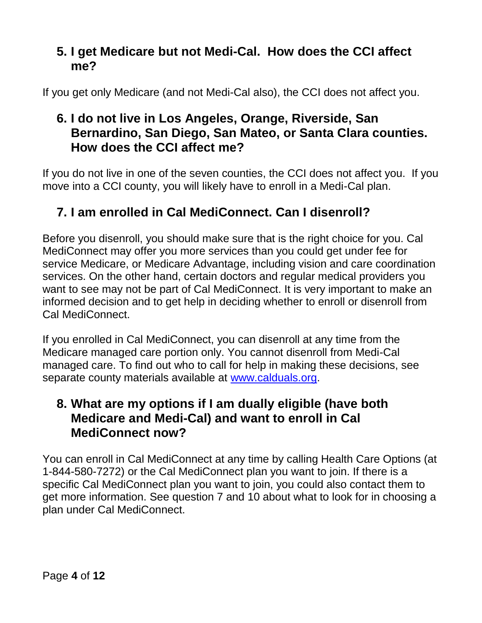#### **5. I get Medicare but not Medi-Cal. How does the CCI affect me?**

If you get only Medicare (and not Medi-Cal also), the CCI does not affect you.

## **6. I do not live in Los Angeles, Orange, Riverside, San Bernardino, San Diego, San Mateo, or Santa Clara counties. How does the CCI affect me?**

If you do not live in one of the seven counties, the CCI does not affect you. If you move into a CCI county, you will likely have to enroll in a Medi-Cal plan.

# **7. I am enrolled in Cal MediConnect. Can I disenroll?**

Before you disenroll, you should make sure that is the right choice for you. Cal MediConnect may offer you more services than you could get under fee for service Medicare, or Medicare Advantage, including vision and care coordination services. On the other hand, certain doctors and regular medical providers you want to see may not be part of Cal MediConnect. It is very important to make an informed decision and to get help in deciding whether to enroll or disenroll from Cal MediConnect.

If you enrolled in Cal MediConnect, you can disenroll at any time from the Medicare managed care portion only. You cannot disenroll from Medi-Cal managed care. To find out who to call for help in making these decisions, see separate county materials available at [www.calduals.org.](http://www.calduals.org/)

#### **8. What are my options if I am dually eligible (have both Medicare and Medi-Cal) and want to enroll in Cal MediConnect now?**

You can enroll in Cal MediConnect at any time by calling Health Care Options (at 1-844-580-7272) or the Cal MediConnect plan you want to join. If there is a specific Cal MediConnect plan you want to join, you could also contact them to get more information. See question 7 and 10 about what to look for in choosing a plan under Cal MediConnect.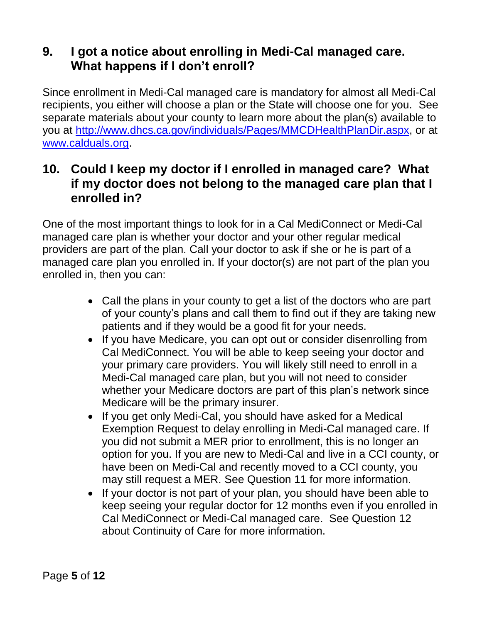## **9. I got a notice about enrolling in Medi-Cal managed care. What happens if I don't enroll?**

Since enrollment in Medi-Cal managed care is mandatory for almost all Medi-Cal recipients, you either will choose a plan or the State will choose one for you. See separate materials about your county to learn more about the plan(s) available to you at [http://www.dhcs.ca.gov/individuals/Pages/MMCDHealthPlanDir.aspx,](http://www.dhcs.ca.gov/individuals/Pages/MMCDHealthPlanDir.aspx) or at [www.calduals.org.](http://www.calduals.org/)

#### **10. Could I keep my doctor if I enrolled in managed care? What if my doctor does not belong to the managed care plan that I enrolled in?**

One of the most important things to look for in a Cal MediConnect or Medi-Cal managed care plan is whether your doctor and your other regular medical providers are part of the plan. Call your doctor to ask if she or he is part of a managed care plan you enrolled in. If your doctor(s) are not part of the plan you enrolled in, then you can:

- Call the plans in your county to get a list of the doctors who are part of your county's plans and call them to find out if they are taking new patients and if they would be a good fit for your needs.
- If you have Medicare, you can opt out or consider disenrolling from Cal MediConnect. You will be able to keep seeing your doctor and your primary care providers. You will likely still need to enroll in a Medi-Cal managed care plan, but you will not need to consider whether your Medicare doctors are part of this plan's network since Medicare will be the primary insurer.
- If you get only Medi-Cal, you should have asked for a Medical Exemption Request to delay enrolling in Medi-Cal managed care. If you did not submit a MER prior to enrollment, this is no longer an option for you. If you are new to Medi-Cal and live in a CCI county, or have been on Medi-Cal and recently moved to a CCI county, you may still request a MER. See Question 11 for more information.
- If your doctor is not part of your plan, you should have been able to keep seeing your regular doctor for 12 months even if you enrolled in Cal MediConnect or Medi-Cal managed care. See Question 12 about Continuity of Care for more information.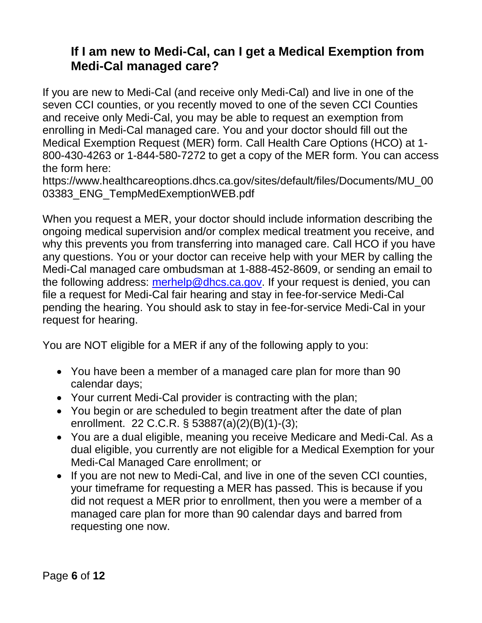## **If I am new to Medi-Cal, can I get a Medical Exemption from Medi-Cal managed care?**

If you are new to Medi-Cal (and receive only Medi-Cal) and live in one of the seven CCI counties, or you recently moved to one of the seven CCI Counties and receive only Medi-Cal, you may be able to request an exemption from enrolling in Medi-Cal managed care. You and your doctor should fill out the Medical Exemption Request (MER) form. Call Health Care Options (HCO) at 1- 800-430-4263 or 1-844-580-7272 to get a copy of the MER form. You can access the form here:

https://www.healthcareoptions.dhcs.ca.gov/sites/default/files/Documents/MU\_00 03383\_ENG\_TempMedExemptionWEB.pdf

When you request a MER, your doctor should include information describing the ongoing medical supervision and/or complex medical treatment you receive, and why this prevents you from transferring into managed care. Call HCO if you have any questions. You or your doctor can receive help with your MER by calling the Medi-Cal managed care ombudsman at 1-888-452-8609, or sending an email to the following address: [merhelp@dhcs.ca.gov.](mailto:merhelp@dhcs.ca.gov) If your request is denied, you can file a request for Medi-Cal fair hearing and stay in fee-for-service Medi-Cal pending the hearing. You should ask to stay in fee-for-service Medi-Cal in your request for hearing.

You are NOT eligible for a MER if any of the following apply to you:

- You have been a member of a managed care plan for more than 90 calendar days;
- Your current Medi-Cal provider is contracting with the plan;
- You begin or are scheduled to begin treatment after the date of plan enrollment. 22 C.C.R. § 53887(a)(2)(B)(1)-(3);
- You are a dual eligible, meaning you receive Medicare and Medi-Cal. As a dual eligible, you currently are not eligible for a Medical Exemption for your Medi-Cal Managed Care enrollment; or
- If you are not new to Medi-Cal, and live in one of the seven CCI counties, your timeframe for requesting a MER has passed. This is because if you did not request a MER prior to enrollment, then you were a member of a managed care plan for more than 90 calendar days and barred from requesting one now.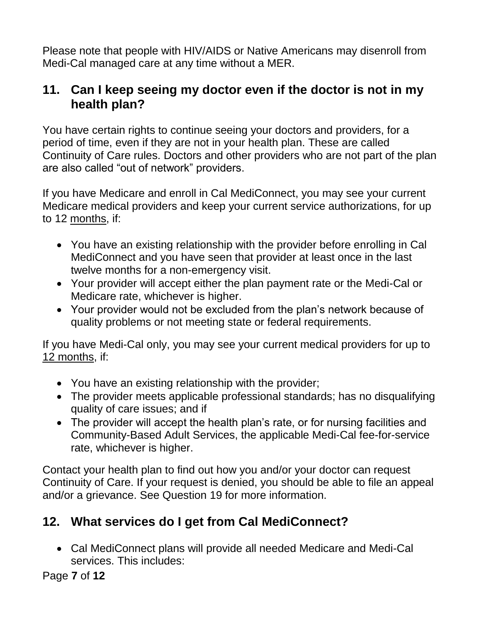Please note that people with HIV/AIDS or Native Americans may disenroll from Medi-Cal managed care at any time without a MER.

## **11. Can I keep seeing my doctor even if the doctor is not in my health plan?**

You have certain rights to continue seeing your doctors and providers, for a period of time, even if they are not in your health plan. These are called Continuity of Care rules. Doctors and other providers who are not part of the plan are also called "out of network" providers.

If you have Medicare and enroll in Cal MediConnect, you may see your current Medicare medical providers and keep your current service authorizations, for up to 12 months, if:

- You have an existing relationship with the provider before enrolling in Cal MediConnect and you have seen that provider at least once in the last twelve months for a non-emergency visit.
- Your provider will accept either the plan payment rate or the Medi-Cal or Medicare rate, whichever is higher.
- Your provider would not be excluded from the plan's network because of quality problems or not meeting state or federal requirements.

If you have Medi-Cal only, you may see your current medical providers for up to 12 months, if:

- You have an existing relationship with the provider;
- The provider meets applicable professional standards; has no disqualifying quality of care issues; and if
- The provider will accept the health plan's rate, or for nursing facilities and Community-Based Adult Services, the applicable Medi-Cal fee-for-service rate, whichever is higher.

Contact your health plan to find out how you and/or your doctor can request Continuity of Care. If your request is denied, you should be able to file an appeal and/or a grievance. See Question 19 for more information.

# **12. What services do I get from Cal MediConnect?**

• Cal MediConnect plans will provide all needed Medicare and Medi-Cal services. This includes:

Page **7** of **12**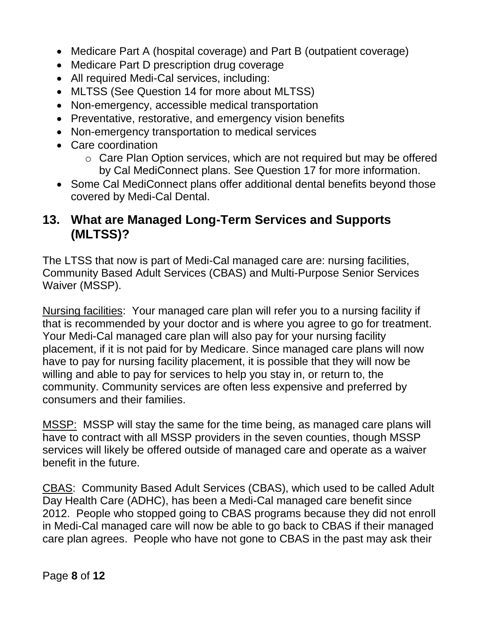- Medicare Part A (hospital coverage) and Part B (outpatient coverage)
- Medicare Part D prescription drug coverage
- All required Medi-Cal services, including:
- MLTSS (See Question 14 for more about MLTSS)
- Non-emergency, accessible medical transportation
- Preventative, restorative, and emergency vision benefits
- Non-emergency transportation to medical services
- Care coordination
	- o Care Plan Option services, which are not required but may be offered by Cal MediConnect plans. See Question 17 for more information.
- Some Cal MediConnect plans offer additional dental benefits beyond those covered by Medi-Cal Dental.

## **13. What are Managed Long-Term Services and Supports (MLTSS)?**

The LTSS that now is part of Medi-Cal managed care are: nursing facilities, Community Based Adult Services (CBAS) and Multi-Purpose Senior Services Waiver (MSSP).

Nursing facilities: Your managed care plan will refer you to a nursing facility if that is recommended by your doctor and is where you agree to go for treatment. Your Medi-Cal managed care plan will also pay for your nursing facility placement, if it is not paid for by Medicare. Since managed care plans will now have to pay for nursing facility placement, it is possible that they will now be willing and able to pay for services to help you stay in, or return to, the community. Community services are often less expensive and preferred by consumers and their families.

MSSP: MSSP will stay the same for the time being, as managed care plans will have to contract with all MSSP providers in the seven counties, though MSSP services will likely be offered outside of managed care and operate as a waiver benefit in the future.

CBAS: Community Based Adult Services (CBAS), which used to be called Adult Day Health Care (ADHC), has been a Medi-Cal managed care benefit since 2012. People who stopped going to CBAS programs because they did not enroll in Medi-Cal managed care will now be able to go back to CBAS if their managed care plan agrees. People who have not gone to CBAS in the past may ask their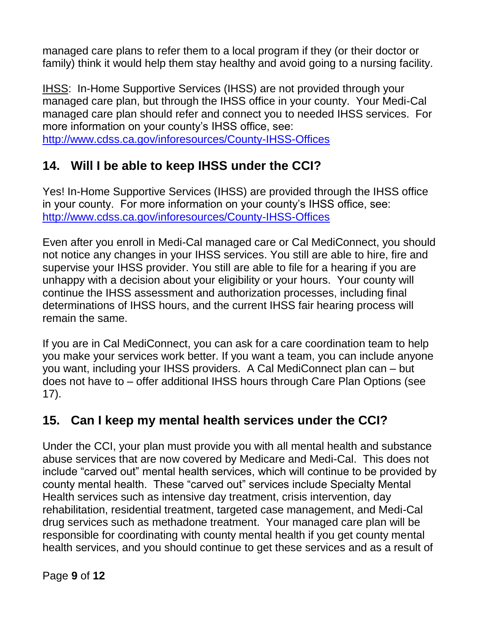managed care plans to refer them to a local program if they (or their doctor or family) think it would help them stay healthy and avoid going to a nursing facility.

IHSS: In-Home Supportive Services (IHSS) are not provided through your managed care plan, but through the IHSS office in your county. Your Medi-Cal managed care plan should refer and connect you to needed IHSS services. For more information on your county's IHSS office, see: <http://www.cdss.ca.gov/inforesources/County-IHSS-Offices>

**14. Will I be able to keep IHSS under the CCI?** 

Yes! In-Home Supportive Services (IHSS) are provided through the IHSS office in your county. For more information on your county's IHSS office, see: <http://www.cdss.ca.gov/inforesources/County-IHSS-Offices>

Even after you enroll in Medi-Cal managed care or Cal MediConnect, you should not notice any changes in your IHSS services. You still are able to hire, fire and supervise your IHSS provider. You still are able to file for a hearing if you are unhappy with a decision about your eligibility or your hours. Your county will continue the IHSS assessment and authorization processes, including final determinations of IHSS hours, and the current IHSS fair hearing process will remain the same.

If you are in Cal MediConnect, you can ask for a care coordination team to help you make your services work better. If you want a team, you can include anyone you want, including your IHSS providers. A Cal MediConnect plan can – but does not have to – offer additional IHSS hours through Care Plan Options (see 17).

## **15. Can I keep my mental health services under the CCI?**

Under the CCI, your plan must provide you with all mental health and substance abuse services that are now covered by Medicare and Medi-Cal. This does not include "carved out" mental health services, which will continue to be provided by county mental health. These "carved out" services include Specialty Mental Health services such as intensive day treatment, crisis intervention, day rehabilitation, residential treatment, targeted case management, and Medi-Cal drug services such as methadone treatment. Your managed care plan will be responsible for coordinating with county mental health if you get county mental health services, and you should continue to get these services and as a result of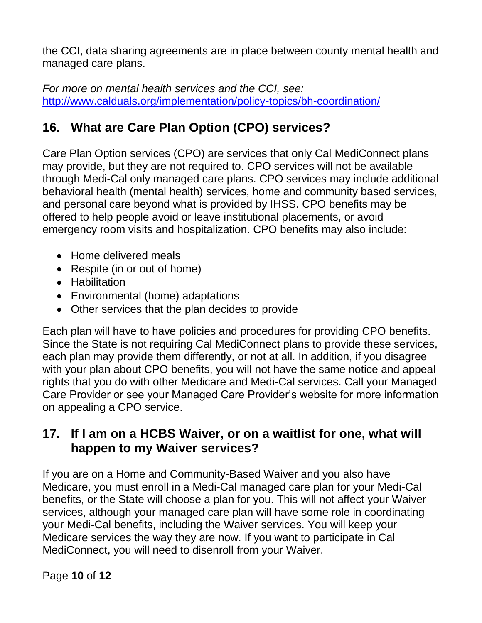the CCI, data sharing agreements are in place between county mental health and managed care plans.

*For more on mental health services and the CCI, see:* [http://www.calduals.org/implementation/policy-topics/bh-coordination/](http://www.calduals.org/wp-content/uploads/2013/08/FAQ-BH-8.20.13.pdf)

# **16. What are Care Plan Option (CPO) services?**

Care Plan Option services (CPO) are services that only Cal MediConnect plans may provide, but they are not required to. CPO services will not be available through Medi-Cal only managed care plans. CPO services may include additional behavioral health (mental health) services, home and community based services, and personal care beyond what is provided by IHSS. CPO benefits may be offered to help people avoid or leave institutional placements, or avoid emergency room visits and hospitalization. CPO benefits may also include:

- Home delivered meals
- Respite (in or out of home)
- Habilitation
- Environmental (home) adaptations
- Other services that the plan decides to provide

Each plan will have to have policies and procedures for providing CPO benefits. Since the State is not requiring Cal MediConnect plans to provide these services, each plan may provide them differently, or not at all. In addition, if you disagree with your plan about CPO benefits, you will not have the same notice and appeal rights that you do with other Medicare and Medi-Cal services. Call your Managed Care Provider or see your Managed Care Provider's website for more information on appealing a CPO service.

## **17. If I am on a HCBS Waiver, or on a waitlist for one, what will happen to my Waiver services?**

If you are on a Home and Community-Based Waiver and you also have Medicare, you must enroll in a Medi-Cal managed care plan for your Medi-Cal benefits, or the State will choose a plan for you. This will not affect your Waiver services, although your managed care plan will have some role in coordinating your Medi-Cal benefits, including the Waiver services. You will keep your Medicare services the way they are now. If you want to participate in Cal MediConnect, you will need to disenroll from your Waiver.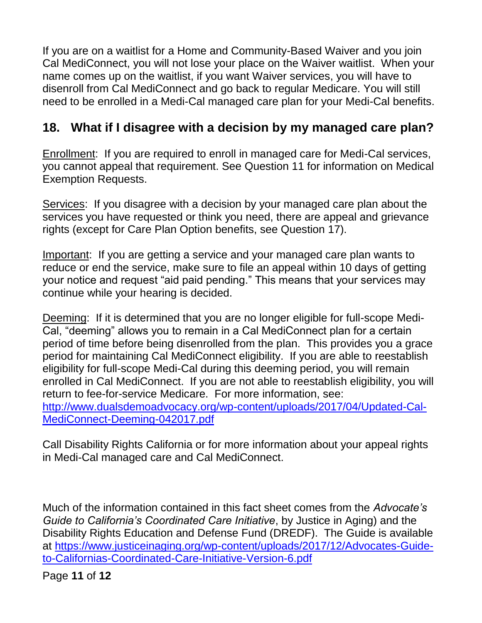If you are on a waitlist for a Home and Community-Based Waiver and you join Cal MediConnect, you will not lose your place on the Waiver waitlist. When your name comes up on the waitlist, if you want Waiver services, you will have to disenroll from Cal MediConnect and go back to regular Medicare. You will still need to be enrolled in a Medi-Cal managed care plan for your Medi-Cal benefits.

## **18. What if I disagree with a decision by my managed care plan?**

Enrollment: If you are required to enroll in managed care for Medi-Cal services, you cannot appeal that requirement. See Question 11 for information on Medical Exemption Requests.

Services: If you disagree with a decision by your managed care plan about the services you have requested or think you need, there are appeal and grievance rights (except for Care Plan Option benefits, see Question 17).

Important: If you are getting a service and your managed care plan wants to reduce or end the service, make sure to file an appeal within 10 days of getting your notice and request "aid paid pending." This means that your services may continue while your hearing is decided.

Deeming: If it is determined that you are no longer eligible for full-scope Medi-Cal, "deeming" allows you to remain in a Cal MediConnect plan for a certain period of time before being disenrolled from the plan. This provides you a grace period for maintaining Cal MediConnect eligibility. If you are able to reestablish eligibility for full-scope Medi-Cal during this deeming period, you will remain enrolled in Cal MediConnect. If you are not able to reestablish eligibility, you will return to fee-for-service Medicare. For more information, see: [http://www.dualsdemoadvocacy.org/wp-content/uploads/2017/04/Updated-Cal-](http://www.dualsdemoadvocacy.org/wp-content/uploads/2017/04/Updated-Cal-MediConnect-Deeming-042017.pdf)[MediConnect-Deeming-042017.pdf](http://www.dualsdemoadvocacy.org/wp-content/uploads/2017/04/Updated-Cal-MediConnect-Deeming-042017.pdf)

Call Disability Rights California or for more information about your appeal rights in Medi-Cal managed care and Cal MediConnect.

Much of the information contained in this fact sheet comes from the *Advocate's Guide to California's Coordinated Care Initiative*, by Justice in Aging) and the Disability Rights Education and Defense Fund (DREDF). The Guide is available at [https://www.justiceinaging.org/wp-content/uploads/2017/12/Advocates-Guide](https://www.justiceinaging.org/wp-content/uploads/2017/12/Advocates-Guide-to-Californias-Coordinated-Care-Initiative-Version-6.pdf)[to-Californias-Coordinated-Care-Initiative-Version-6.pdf](https://www.justiceinaging.org/wp-content/uploads/2017/12/Advocates-Guide-to-Californias-Coordinated-Care-Initiative-Version-6.pdf)

Page **11** of **12**